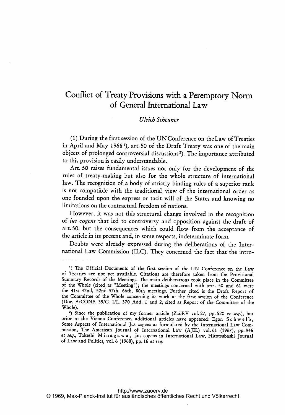## Conflict of Treaty Provisions with a Peremptory Norm of General International Law

## Ulricb Scheuner

(1) During the first session of the UNConference on the Law of Treaties in April and May <sup>1968</sup> 1), art. 50 of the Draft Treaty was one of the main objects of prolonged controversial discussions<sup>2</sup>). The importance attributed to this provision is easily understandable.

Art. 50 raises fundamental issues not only for the development of the rules of treaty-making but also for the whole structure of international law. The recognition of <sup>a</sup> body of strictly binding rules of <sup>a</sup> superior rank is not compatible with the traditional view of the international order as one founded upon the express or tacit will of the States and knowing no limitations on the contractual freedom of nations.

However, it was not this structural change involved in the recognition of ius cogens that led to controversy and opposition against the draft of art. 50, but the consequences which could flow from the acceptance of the article in its present and, in some respects, indeterminate form.

Doubts were already expressed during the deliberations of the International Law Commission (ILC). They concerned the fact that the intro-

<sup>1)</sup> The Official Documents of the first session of the UN Conference on the Law of Treaties are not yet available. Citations are therefore taken from the Provisional Summary Records of the Meetings. The main deliberations took place in the Committee of the Whole (cited as "Meeting"); the meetings concerned with arts. 50 and <sup>61</sup> were the 41st-42nd, 52nd-57th, 66th, 80th meetings. Further cited is the Draft Report of the Committee of the Whole concerning its work at the first session of the Conference (Doc. A/CONF. 39/C. 1/L. <sup>370</sup> Add. <sup>I</sup> and 2, cited as Report of the Committee of the Whole).

<sup>&</sup>lt;sup>2</sup>) Since the publication of my former article (ZaöRV vol. 27, pp. 520 et seq.), but prior to the Vienna Conference, additional articles have appeared: Egon Schwelb, Some Aspects of International Jus cogens as formulated by the International Law Commission, The American journal of International Law (AJIL) vol. <sup>61</sup> (1967), pp. <sup>946</sup> et seq., Takeshi M <sup>i</sup> <sup>n</sup> <sup>a</sup> <sup>g</sup> <sup>a</sup> w a, Jus cogens in International Law, Hitotsubashi journal of Law and Politics, vol. <sup>6</sup> (1968), pp. <sup>16</sup> et seq.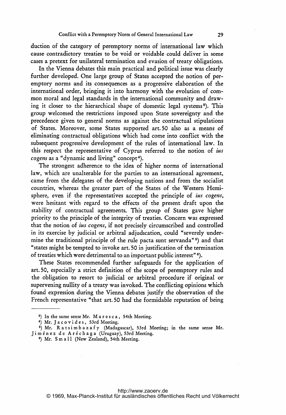duction of the category of peremptory norms of international law which cause contradictory treaties to be void or voidable could deliver in some cases a pretext for unilateral termination and evasion of treaty obligations.

In the Vienna debates this main practical and political issue was clearly further developed. One large group of States accepted the notion of peremptory norms and its consequences as <sup>a</sup> progressive elaboration of the international order, bringing it into harmony with the evolution of common moral and legal standards in the international community and drawing it closer to the hierarchical shape of domestic legal systems 3). This group welcomed the restrictions imposed upon State sovereignty and the precedence given to general norms as against the contractual stipulations of States. Moreover, some States supported art. 50 also as a means of eliminating contractual obligations which had come into conflict with the subsequent progressive development of the rules of international law. In this respect the representative of Cyprus referred to the notion of ius cogens as a "dynamic and living" concept<sup>4</sup>).

The strongest adherence to the idea of higher norms of international law, which are unalterable for the parties to an international agreement, came from the delegates of the developing nations and from the socialist countries, whereas the greater part of the States of the Western Hemisphere, even if the representatives accepted the principle of *ius cogens*, were hesitant with regard to the effects of the present draft upon the stability of contractual agreements. This group of States gave higher priority to the principle of the integrity of treaties. Concern was expressed that the notion of ius cogens, if not precisely circumscribed and controlled in its exercise by judicial or arbitral adjudication, could "severely undermine the traditional principle of the rule pacta sunt servanda" $5$ ) and that "states might be tempted to invoke art. 50 in justification of the termination of treaties which were detrimental to an important public interest" 6).

These States recommended further safeguards for the application of art. 50, especially <sup>a</sup> strict definition of the scope of peremptory rules and the obligation to resort to judicial or arbitral procedure if original or supervening nullity of <sup>a</sup> treaty was invoked. The conflicting opinions which found expression during the Vienna debates justify the observation of the French representative "that art. 50 had the formidable reputation of being

<sup>3)</sup> In the same sense Mr. M <sup>a</sup> <sup>r</sup> <sup>e</sup> <sup>s</sup> <sup>c</sup> a, 54th Meeting.

<sup>4)</sup> Mr. Jacovides, 53rd Meeting.

<sup>&</sup>lt;sup>5</sup>) Mr. R a t s i m b a z a f y (Madagascar), 53rd Meeting; in the same sense Mr. Jim6nez de Ar6chaga (Uruguay), 53rd Meeting.

<sup>&</sup>lt;sup>6</sup>) Mr. Small (New Zealand), 54th Meeting.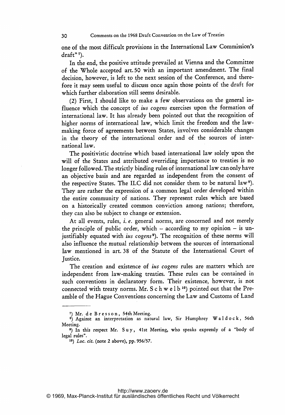one of the most difficult provisions in the International Law Commission's draft"?).

In the end, the positive attitude prevailed at Vienna and the Committee of the 'Whole accepted art. <sup>50</sup> with an important amendment. The final decision, however, is left to the next session of the Conference, and therefore it may seem useful to discuss once again those points of the draft for which further elaboration still seems desirable.

(2) First, <sup>I</sup> should like to make <sup>a</sup> few observations on the general influence which the concept of *ius cogens* exercises upon the formation of international law. It has already been pointed out that the recognition of higher norms of international law, which limit the freedom and the lawmaking force of agreements between States, involves considerable changes in the theory of the international order and of the sources of international law.

The positivistic doctrine which based international law solely upon the will of the States and attributed overriding importance to treaties is no longer followed. The strictly binding rules of international law can only have an objective basis and are regarded as independent from the consent of the respective States. The ILC did not consider them to be natural law<sup>8</sup>). They are rather the expression of <sup>a</sup> common legal order developed within the entire community of nations. They represent rules which are based on <sup>a</sup> historically created common conviction among nations; therefore, they can also be subject to change or extension.

At all events, rules, i. e. general norms, are concerned and not merely the principle of public order, which - according to my opinion - is unjustifiably equated with *ius* cogens<sup>9</sup>). The recognition of these norms will also influence the mutual relationship between the sources of international law mentioned in art. 38 of the Statute of the International Court of Justice.

The creation and existence of *ius cogens* rules are matters which are independent from law-making treaties. These rules can be contained in such conventions in declaratory form. Their existence, however, is not connected with treaty norms. Mr. S c h w e  $1 b<sup>10</sup>$  pointed out that the Preamble of the Hague Conventions concerning the Law and Customs of Land

<sup>7)</sup> Mr. de Bresson, 54th Meeting.

 $\frac{8}{3}$  Against an interpretation as natural law, Sir Humphrey W a l d o c k, 56th Meeting.

<sup>9)</sup> In this respect Mr. Suy, 41st Meeting, who speaks expressly of <sup>a</sup> "body of legal rules".

<sup>10)</sup> Loc. cit. (note 2 above), pp. 956/57.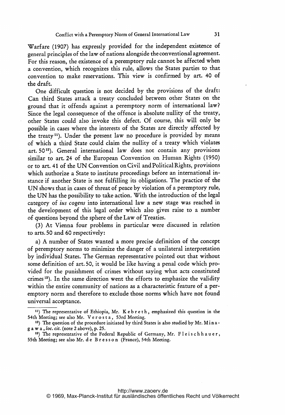Warfare (1907) has expressly provided for the independent existence of general principles of the law of nations alongside the conventional agreement. For this reason, the existence of <sup>a</sup> peremptory rule cannot be affected when a convention, which recognizes this rule, allows the States parties to that convention to make reservations. This view is confirmed by art. 40 of the draft.

One difficult question is not decided by the provisions of the draft: Can third States attack a treaty concluded between other States on the ground that it offends against <sup>a</sup> peremptory norm of international law? Since the legal consequence of the offence is absolute nullity of the treaty, other States could also invoke this defect. Of course, this will only be possible in cases where the interests of the States are directly affected by the treaty<sup>11</sup>). Under the present law no procedure is provided by means of which <sup>a</sup> third State could claim the nullity of <sup>a</sup> treaty which violates art. 50<sup>12</sup>). General international law does not contain any provisions similar to art. <sup>24</sup> of the European Convention on Human Rights (1950) or to art. <sup>41</sup> of the UN Convention on Civil and Political Rights, provisions which authorize a State to institute proceedings before an international instance if another State is not fulfilling its obligations. The practice of the UN shows that in cases of threat of peace by violation of <sup>a</sup> peremptory rule, the UN has the possibility to take action. With the introduction of the legal category of ius cogens into international law <sup>a</sup> new stage was reached in the development of this legal order which also gives raise to <sup>a</sup> number of questions beyond the sphere of the Law of Treaties.

(3) At Vienna four problems in particular were discussed in relation to arts. 50 and 60 respectively:

a) A number of States wanted <sup>a</sup> more precise definition of the concept of peremptory norms to minimize the danger of a unilateral interpretation by individual States. The German representative pointed out that without some definition of art. 50, it would be like having <sup>a</sup> penal code which provided for the punishment of crimes without saying what acts constituted crimes 13). In the same direction went the efforts to emphasize the validity within the entire community of nations as a characteristic feature of a peremptory norm and therefore to exclude those norms which have not found universal acceptance.

<sup>&</sup>lt;sup>11</sup>) The representative of Ethiopia, Mr. K e b r e t h, emphasized this question in the 54th Meeting; see also Mr. V <sup>e</sup> <sup>r</sup> <sup>o</sup> <sup>s</sup> <sup>t</sup> a, 53rd Meeting.

<sup>&</sup>lt;sup>12</sup>) The question of the procedure initiated by third States is also studied by Mr. Mina<sup>g</sup> <sup>a</sup> w a, loc. cit. (note <sup>2</sup> above), p. 25.

<sup>&</sup>lt;sup>13</sup>) The representative of the Federal Republic of Germany, Mr. Fleischhauer, 55th Meeting; see also Mr. d <sup>e</sup> B <sup>r</sup> <sup>e</sup> <sup>s</sup> <sup>s</sup> <sup>o</sup> n (France), 54th Meeting.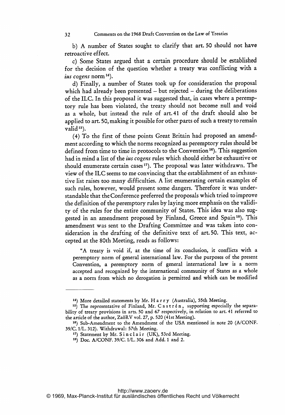b) A number of States sought to clarify that art. <sup>50</sup> should not have retroactive effect.

c) Some States argued that <sup>a</sup> certain procedure should be established for the decision of the question whether <sup>a</sup> treaty was conflicting with <sup>a</sup> ius cogens norm $^{14}$ ).

d) Finally, <sup>a</sup> number of States took up for consideration the proposal which had already been presented - but rejected - during the deliberations of the ILC. In this proposal it was suggested that, in cases where <sup>a</sup> peremptory rule has been violated, the treaty should not become null and void as <sup>a</sup> whole, but instead the rule of art. 41 of the draft should also be applied to art. 50, making it possible for other parts of such a treaty to remain valid $15$ ).

(4) To the first of these points Great Britain had proposed an amendment according to which the norms recognized as peremptory rules should be defined from time to time in protocols to the Convention 16). This suggestion had in mind <sup>a</sup> list of the ius cogens rules which should either be exhaustive or should enumerate certain cases<sup>17</sup>). The proposal was later withdrawn. The view of the ILC seems to me convincing that the establishment of an exhaustive list raises too many difficulties. A list enumerating certain examples of such rules, however, would present some dangers. Therefore it was understandable that the Conference preferred the proposals which tried to improve the definition of the peremptory rules by laying more emphasis on the validity of the rules for the entire community of States. This idea was also suggested in an amendment proposed by Finland, Greece and Spain<sup>18</sup>). This amendment was sent to the Drafting Committee and was taken into consideration in the drafting of the definitive text of art. 50. This text, accepted at the 80th Meeting, reads as follows:

"A treaty is void if, at the time of its conclusion, it conflicts with a peremptory norm of general international law. For the purposes of the present Convention, <sup>a</sup> peremptory norm of general international law is <sup>a</sup> norm accepted and recognized by the international community of States as <sup>a</sup> whole as a norm from which no derogation is permitted and which can be modified

<sup>14)</sup> More detailed statements by Mr. H <sup>a</sup> <sup>r</sup> <sup>r</sup> <sup>y</sup> (Australia), 55th Meeting.

<sup>15)</sup> The representative of Finland, Mr. Castrén, supporting especially the separability of treaty provisions in arts. <sup>50</sup> and 67 respectively, in relation to art. <sup>41</sup> referred to the article of the author, Za6RV vol. 27, p. <sup>520</sup> (41st Meeting).

<sup>16)</sup> Sub-Amendment to the Amendment of the USA mentioned in note <sup>20</sup> (A/CONF. 39/C. 1/L. 312). Withdrawal: 57th Meeting.

<sup>17)</sup> Statement by Mr. Sinclair (UK), 53rd Meeting.

<sup>18)</sup> Doc. A/CONF. 39/C. 1/L. 306 and Add. <sup>1</sup> and 2.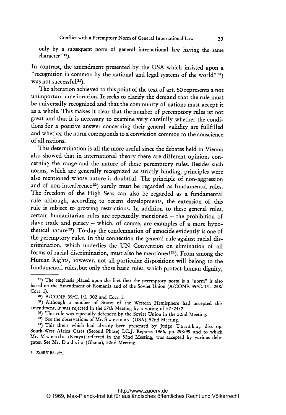only by a subsequent norm of general international law having the same character" 19).

In contrast, the amendment presented by the USA which insisted upon <sup>a</sup> "recognition in common by the national and legal systems of the world"  $20$ ) was not successful<sup>21</sup>).

The alteration achieved to this point of the text of art. 50 represents <sup>a</sup> not unimportant amelioration. It seeks to clarify the demand that the rule must be universally recognized and that the community of nations must accept it as <sup>a</sup> whole. This makes it clear that the number of peremptory rules ist not great and that it is necessary to examine very carefully whether the conditions for a positive answer concerning their general validity are fullfilled and whether the norm corresponds to a conviction common to the conscience of all nations.

This determination is all the more useful since the debates held in Vienna also showed that in international theory there are different opinions concerning the range and the nature of these peremptory rules. Besides such norms, which are generally recognized as strictly binding, principles were also mentioned whose nature is doubtful. The principle of non-aggression and of non-interference<sup>22</sup>) surely must be regarded as fundamental rules. The freedom of the High Seas can also be regarded as a fundamental rule although, according to recent developments, the extension of this rule is subject to growing restrictions. In addition to these general rules, certain humanitarian rules are repeatedly mentioned  $-$  the prohibition of slave trade and piracy - which, of course, are examples of a more hypothetical nature<sup>23</sup>). To-day the condemnation of genocide evidently is one of the peremptory rules. In this connection the general rule against racial discrimination, which underlies the UN Convention on elimination of all forms of racial discrimination, must also be mentioned<sup>24</sup>). From among the Human Rights, however, not all particular dispositions will belong to the fundamental rules, but only those basic rules, which protect human dignity,

<sup>3</sup> Za6RV Bd. 29/1

<sup>19)</sup> The emphasis placed upon the fact that the peremptory norm is <sup>a</sup> "norm" is also based on the Amendment of Romania and of the Soviet Union (A/CONF. 39/C. 1/L. 258/ Corr. 1).

A/CONF. 39/C. 1/L. 302 and Corr. 1.

<sup>91)</sup> Although a number of States of the Western Hemisphere had accepted this amendment, it was rejected in the 57th Meeting by a voting of 57:24:7.

<sup>22)</sup> This rule was especially defended by the Soviet Union in the 52nd Meeting.

<sup>23)</sup> See the observations of Mr. <sup>S</sup> w <sup>e</sup> <sup>e</sup> <sup>n</sup> <sup>e</sup> <sup>y</sup> (USA), 52nd Meeting.

<sup>24)</sup> This thesis which had already been presented by judge T <sup>a</sup> <sup>n</sup> <sup>a</sup> <sup>k</sup> a, diss. op. South-West Africa Cases (Second Phase) I.C.J. Reports 1966, pp. 298/99 and to which Mr. Mwenda (Kenya) referred in the 52nd Meeting, was accepted by various delegates. See Mr. D <sup>a</sup> <sup>d</sup> <sup>z</sup> <sup>i</sup> <sup>e</sup> (Ghana), 52nd Meeting.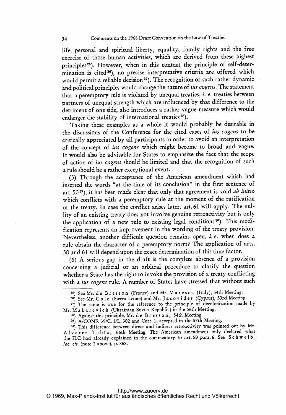life, personal and spiritual liberty, equality, family rights and the free exercise of those human activities, which are derived from these highest principles<sup>25</sup>). However, when in this context the principle of self-determination is cited<sup>26</sup>), no precise interpretative criteria are offered which would permit a reliable decision<sup>27</sup>). The recognition of such rather dynamic and political principles would change the nature of ius cogens. The statement that <sup>a</sup> peremptory rule is violated by unequal treaties, i. e. treaties between partners of unequal strength which are influenced by that difference to the detriment of one side, also introduces <sup>a</sup> rather vague measure which would endanger the stability of international treaties 28).

Taking these examples as <sup>a</sup> whole it would probably be desirable in the discussions of the Conference for the cited cases of ius cogens to be critically appreciated by all participants in order to avoid an interpretation of the concept of ius cogens which might become to broad and vague. It would also be advisable for States to emphasize the fact that the scope of action of ius cogens should be limited and that the recognition of such a rule should be a rather exceptional event.

(5) Through the acceptance of the American amendment which had inserted the words "at the time of its conclusion" in the first sentence of art. 50 $29$ ), it has been made clear that only that agreement is void *ab initio* which conflicts with <sup>a</sup> peremptory rule at the moment of the ratification of the treaty. In case the conflict arises later, art.61 will apply. The nullity of an existing treaty does not involve genuine retroactivity but is only the application of a new rule to existing legal conditions<sup>30</sup>). This modification represents an improvement in the wording of the treaty provision. Nevertheless, another difficult question remains open, i. e. when does' <sup>a</sup> rule obtain the character of <sup>a</sup> peremptory norm? The application of arts. 50 and <sup>61</sup> will depend upon the exact determination of this time factor.

(6) A serious gap in the draft is the complete absence of <sup>a</sup> provision concerning <sup>a</sup> judicial or an arbitral procedure to clarify the question whether a State has the right to invoke the provision of <sup>a</sup> treaty conflicting with a ius cogens rule. A number of States have stressed that without such

<sup>25)</sup> See Mr. <sup>d</sup> <sup>e</sup> <sup>B</sup> <sup>r</sup> <sup>e</sup> <sup>s</sup> <sup>s</sup> <sup>o</sup> <sup>n</sup> (France) and Mr. M <sup>a</sup> <sup>r</sup> <sup>e</sup> <sup>s</sup> <sup>c</sup> <sup>a</sup> (Italy), 54th Meeting.

<sup>26)</sup> See Mr. C o l e (Sierra Leone) and Mr. J a c o v i d e s (Cyprus), 53rd Meeting.

<sup>27)</sup> The same is true for the reference to the principle of decolonization made by Mr. M <sup>a</sup> <sup>k</sup> <sup>a</sup> <sup>r</sup> <sup>e</sup> <sup>v</sup> <sup>i</sup> <sup>c</sup> <sup>h</sup> (Ukrainian Soviet Republic) in the 56th Meeting.

<sup>&</sup>lt;sup>28</sup>) Against this principle, Mr. d e B r e s s o n, 54th Meeting.

<sup>29)</sup> A/CONF. 39/C. 1/L. 302 and Corr. 1, accepted in the 57th Meeting.

<sup>30)</sup> This difference between direct and indirect retroactivity was pointed out by Mr. Alvarez Tabio, 66th Meeting. The American amendment only declared what the ILC had already explained in the commentary to art. 50 para. 6. See Schwelb, loc. cit. (note 2 above), p. 868.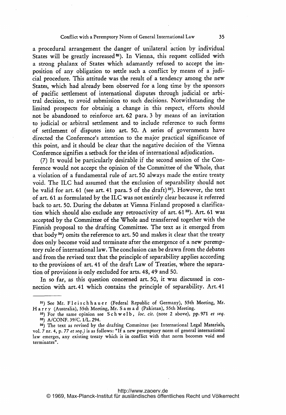## Conflict with <sup>a</sup> Peremptory Norm of General International Law 35

<sup>a</sup> procedural arrangement the danger of unilateral action by individual States will be greatly increased<sup>31</sup>). In Vienna, this request collided with <sup>a</sup> strong phalanx of States which adamantly refused to accept the imposition of any obligation to settle such <sup>a</sup> conflict by means of <sup>a</sup> judicial procedure. This attitude was the result of <sup>a</sup> tendency among the new States, which had already been observed for a long time by the sponsors of pacific settlement of international disputes through judicial or arbitral decision, to avoid submission to such decisions. Notwithstanding the limited prospects for obtainig <sup>a</sup> change in this respect, efforts should not be abandoned to reinforce art. 62 para. <sup>3</sup> by means of an invitation to judicial or arbitral settlement and to include reference to such forms of settlement of disputes into art. 50. A series of governments have directed the Conference's attention to the major practical significance of this point, and it should be clear that the negative decision of the Vienna Conference signifies a setback for the idea of international adjudication.

(7) It would be particularly desirable if the second session of the Conference would not accept the opinion of the Committee of the Whole, that <sup>a</sup> violation of <sup>a</sup> fundamental rule of art. 50 always made the entire treaty void. The ILC had assumed that the exclusion of separability should not be valid for art. 61 (see art. 41 para. 5 of the draft)<sup>32</sup>). However, the text of art. <sup>61</sup> as formulated by the ILC was not entirely clear because it referred back to art. 50. During the debates at Vienna Finland proposed a clarification which should also exclude any retroactivity of art.  $61<sup>33</sup>$ ). Art.  $61$  was accepted by the Committee of theWhole and transferred together with the Finnish proposal to the drafting Committee. The text as it emerged from that body 34) omits the reference to art. 50 and makes it clear that the treaty does only become void and terminate after the emergence of <sup>a</sup> new peremptory rule of international law. The conclusion can be drawn from the debates and from the revised text that the principle of separability applies according to the provisions of art. <sup>41</sup> of the draft Law of Treaties, where the separation of provisions is only excluded for arts. 48, 49 and 50.

In so far, as this question concerned art. 50, it was discussed in connection with art. 41 which contains the principle of separability. Art. 41

<sup>31)</sup> See Mr. Fleischhauer (Federal Republic of Germany), 55th Meeting, Mr. H <sup>a</sup> <sup>r</sup> <sup>r</sup> <sup>y</sup> (Australia), 55th Meeting, Mr. <sup>S</sup> <sup>a</sup> m <sup>a</sup> <sup>d</sup> (Pakistan), 55th Meeting.

<sup>32)</sup> For the same opinion see Schwelb, loc. cit. (note 2 above), pp. 971 et seq. 33) A/CONF. 39/C. I/L. 294.

s4) The text as revised by the drafting Committee (see International Legal Materials, vol. <sup>7</sup> nr. 4, p. <sup>77</sup> et seq.) is as follows: "If <sup>a</sup> new peremptory norm of general international law emerges, any existing treaty which is in conflict with that norm becomes void and terminates".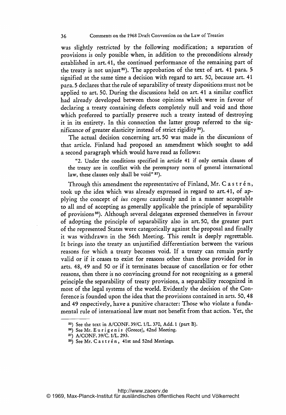was slightly restricted by the following modification; a separation of provisions is only possible when, in addition to the preconditions already established in art.41, the continued performance of the remaining part of the treaty is not unjust<sup>35</sup>). The approbation of the text of art. 41 para. 5 signified at the same time <sup>a</sup> decision with regard to art. 50, because art. 41 para. 5 declares that the rule of separability of treaty dispositions must not be applied to art. 50. During the discussions held on art. 41 a similar conflict had already developed between those opinions which were in favour of declaring <sup>a</sup> treaty containing defects completely null and void and those which preferred to partially preserve such <sup>a</sup> treaty instead of destroying it in its entirety. In this connection the latter group referred to the significance of greater elasticity instead of strict rigidity 36).

The actual decision concerning art. 50 was made in the discussions of that article. Finland had proposed an amendment which sought to add a second paragraph which would have read as follows:

"2. Under the conditions specified in article 41 if only certain clauses of the treaty are in conflict with the peremptory norm of general international law, these clauses only shall be void" 37).

Through this amendment the representative of Finland, Mr.  $C$  a s t r é n, took up the idea which was already expressed in regard to art. 41, of applying the concept of ius cogens cautiously and in <sup>a</sup> manner acceptable to all and of accepting as generally applicable the principle of separability of provisions<sup>38</sup>). Although several delegates expressed themselves in favour of adopting the principle of separability also in art. 50, the greater part of the represented States were categorically against the proposal and finally it was withdrawn in the 56th Meeting. This result is deeply regrettable. It brings into the treaty an unjustified differentiation between the various reasons for which a treaty becomes void. If <sup>a</sup> treaty can remain partly valid or if it ceases to exist for reasons other than those provided for in arts. 48, 49 and 50 or if it terminates because of cancellation or for other reasons, then there is no convincing ground for not recognizing as a general principle the separability of treaty provisions, a separability recognized in most of the legal systems of the world. Evidently the decision of the Conference is founded upon the idea that the provisions contained in arts. 50, 48 and <sup>49</sup> respectively, have <sup>a</sup> punitive character: Those who violate <sup>a</sup> fundamental rule of international law must not benefit from that action. Yet, the

<sup>35)</sup> See the text in A/CONF. 39/C. 1/L. 370, Add. <sup>I</sup> (part B).

<sup>36)</sup> See Mr. E u <sup>r</sup> <sup>i</sup> <sup>g</sup> <sup>e</sup> n <sup>i</sup> <sup>s</sup> (Greece), 42nd Meeting.

<sup>37)</sup> A/CONF. 39/C. 1/L. 293.

<sup>38)</sup> See Mr. C <sup>a</sup> <sup>s</sup> <sup>t</sup> <sup>r</sup> <sup>6</sup> n, 41st and 52nd Meetings.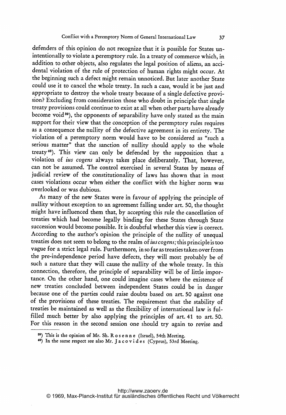defenders of this opinion do not recognize that it is possible for States unintentionally to violate a peremptory rule. In a treaty of commerce which, in addition to other objects, also regulates the legal position of aliens, an accidental violation of the rule of protection of human rights might occur. At the beginning such a defect might remain unnoticed. But later another State could use it to cancel the whole treaty. In such a case, would it be just and appropriate to destroy the whole treaty because of <sup>a</sup> single defective provision? Excluding from consideration those who doubt in principle that single treaty provisions could continue to exist at all when other parts have already become void 39), the opponents of separability have only stated as the main support for their view that the conception of the peremptory rules requires as <sup>a</sup> consequence the nullity of the defective agreement in its entirety. The violation of <sup>a</sup> peremptory norm would have to be considered as "such a serious matter" that the sanction of nullity should apply to the whole treaty40). This view can only be defended by the supposition that <sup>a</sup> violation of ius cogens always takes place deliberately. That, however, can not be assumed. The control exercised in several States by means of judicial review of the constitutionality of laws has shown that in most cases violations occur when either the conflict with the higher norm was overlooked or was dubious.

As many of the new States were in favour of applying the principle of nullity without exception to an agreement falling under art. 50, the thought might have influenced them that, by accepting this rule the cancellation of treaties which had become legally binding for these States through State succession would become possible. It is doubtful whether this view is correct. According to the author's opinion the principle of the nullity of unequal treaties does not seem to belong to the realm of ius cogens; this principle is too vague for a strict legal rule. Furthermore, in so far as treaties taken over from the pre-independence period have defects, they will most probably be of such <sup>a</sup> nature that they will cause the nullity of the whole treaty. In this connection, therefore, the principle of separability will be of little impor tance. On the other hand, one could imagine cases where the existence of new treaties concluded between independent States could be in danger because one of the parties could raise doubts based on art. 50 against one of the provisions of these treaties. The requirement that the stability of treaties be maintained as well as the flexibility of international law is fulfilled much better by also applying the principles of art. <sup>41</sup> to art. 50. For this reason in the second session one should try again to revise and

<sup>39)</sup> This is the opinion of Mr. Sh. R <sup>o</sup> <sup>s</sup> <sup>e</sup> <sup>n</sup> <sup>n</sup> <sup>e</sup> (Israel), 54th Meeting.

<sup>&</sup>lt;sup>40</sup>) In the same respect see also Mr. J a c o v i d e s (Cyprus), 53rd Meeting.